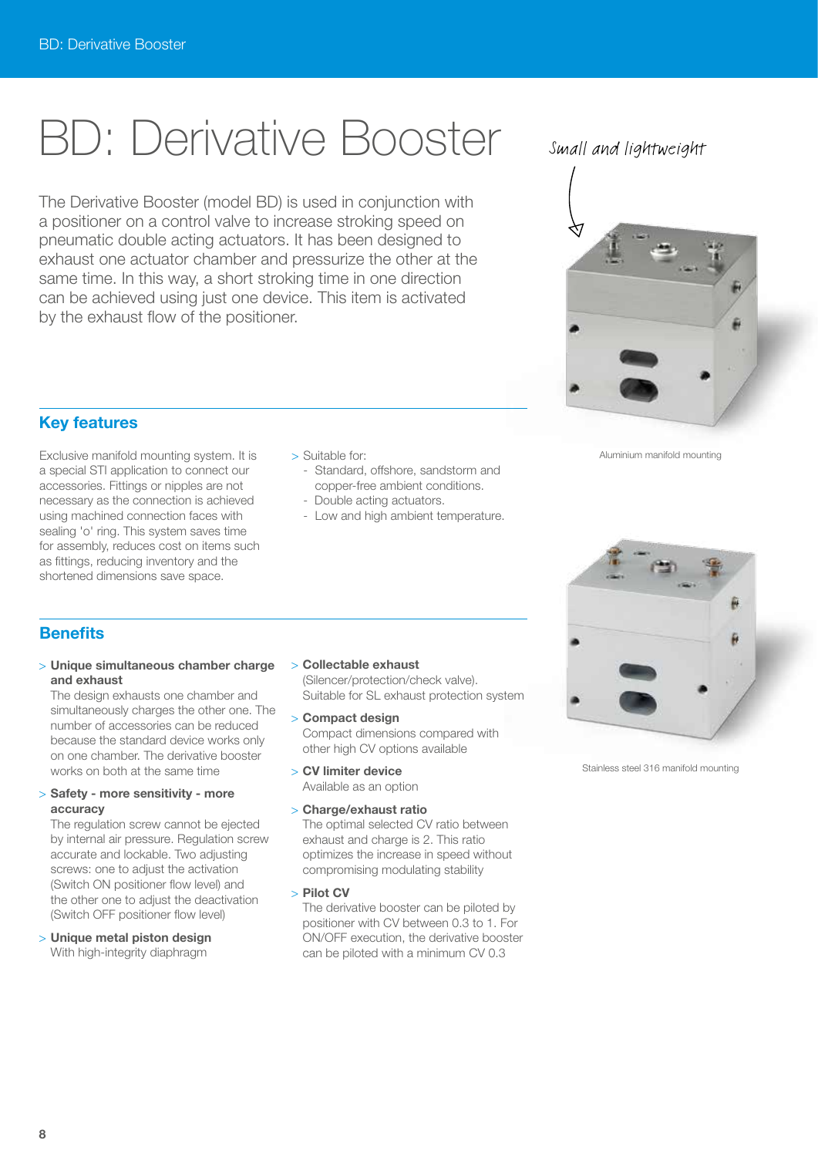# BD: Derivative Booster

The Derivative Booster (model BD) is used in conjunction with a positioner on a control valve to increase stroking speed on pneumatic double acting actuators. It has been designed to exhaust one actuator chamber and pressurize the other at the same time. In this way, a short stroking time in one direction can be achieved using just one device. This item is activated by the exhaust flow of the positioner.

# Small and lightweight



Aluminium manifold mounting

## **Key features**

Exclusive manifold mounting system. It is a special STI application to connect our accessories. Fittings or nipples are not necessary as the connection is achieved using machined connection faces with sealing 'o' ring. This system saves time for assembly, reduces cost on items such as fittings, reducing inventory and the shortened dimensions save space.

- > Suitable for:
	- Standard, offshore, sandstorm and copper-free ambient conditions.
	- Double acting actuators.
	- Low and high ambient temperature.

### **Benefits**

#### > **Unique simultaneous chamber charge and exhaust**

The design exhausts one chamber and simultaneously charges the other one. The number of accessories can be reduced because the standard device works only on one chamber. The derivative booster works on both at the same time

#### > **Safety - more sensitivity - more accuracy**

 The regulation screw cannot be ejected by internal air pressure. Regulation screw accurate and lockable. Two adjusting screws: one to adjust the activation (Switch ON positioner flow level) and the other one to adjust the deactivation (Switch OFF positioner flow level)

> **Unique metal piston design** With high-integrity diaphragm

- > **Collectable exhaust** (Silencer/protection/check valve). Suitable for SL exhaust protection system
- > **Compact design** Compact dimensions compared with other high CV options available

> **CV limiter device**

Available as an option

#### > **Charge/exhaust ratio**

 The optimal selected CV ratio between exhaust and charge is 2. This ratio optimizes the increase in speed without compromising modulating stability

> **Pilot CV**

 The derivative booster can be piloted by positioner with CV between 0.3 to 1. For ON/OFF execution, the derivative booster can be piloted with a minimum CV 0.3



Stainless steel 316 manifold mounting